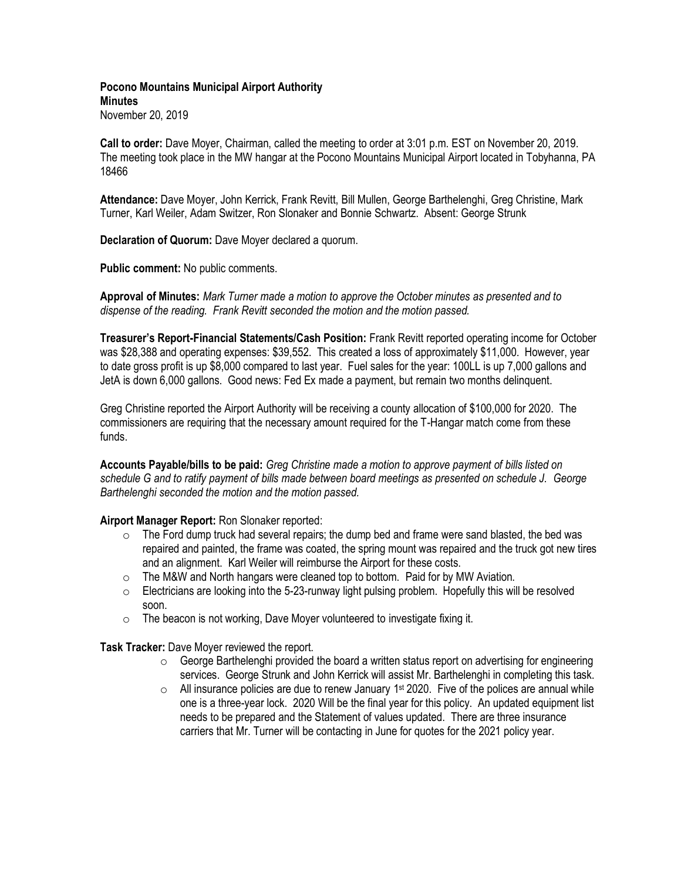**Pocono Mountains Municipal Airport Authority Minutes** November 20, 2019

**Call to order:** Dave Moyer, Chairman, called the meeting to order at 3:01 p.m. EST on November 20, 2019. The meeting took place in the MW hangar at the Pocono Mountains Municipal Airport located in Tobyhanna, PA 18466

**Attendance:** Dave Moyer, John Kerrick, Frank Revitt, Bill Mullen, George Barthelenghi, Greg Christine, Mark Turner, Karl Weiler, Adam Switzer, Ron Slonaker and Bonnie Schwartz. Absent: George Strunk

**Declaration of Quorum:** Dave Moyer declared a quorum.

**Public comment:** No public comments.

**Approval of Minutes:** *Mark Turner made a motion to approve the October minutes as presented and to dispense of the reading. Frank Revitt seconded the motion and the motion passed.*

**Treasurer's Report-Financial Statements/Cash Position:** Frank Revitt reported operating income for October was \$28,388 and operating expenses: \$39,552. This created a loss of approximately \$11,000. However, year to date gross profit is up \$8,000 compared to last year. Fuel sales for the year: 100LL is up 7,000 gallons and JetA is down 6,000 gallons. Good news: Fed Ex made a payment, but remain two months delinquent.

Greg Christine reported the Airport Authority will be receiving a county allocation of \$100,000 for 2020. The commissioners are requiring that the necessary amount required for the T-Hangar match come from these funds.

**Accounts Payable/bills to be paid:** *Greg Christine made a motion to approve payment of bills listed on schedule G and to ratify payment of bills made between board meetings as presented on schedule J. George Barthelenghi seconded the motion and the motion passed.*

## **Airport Manager Report:** Ron Slonaker reported:

- $\circ$  The Ford dump truck had several repairs; the dump bed and frame were sand blasted, the bed was repaired and painted, the frame was coated, the spring mount was repaired and the truck got new tires and an alignment. Karl Weiler will reimburse the Airport for these costs.
- o The M&W and North hangars were cleaned top to bottom. Paid for by MW Aviation.
- $\circ$  Electricians are looking into the 5-23-runway light pulsing problem. Hopefully this will be resolved soon.
- $\circ$  The beacon is not working, Dave Moyer volunteered to investigate fixing it.

**Task Tracker:** Dave Moyer reviewed the report.

- $\circ$  George Barthelenghi provided the board a written status report on advertising for engineering services. George Strunk and John Kerrick will assist Mr. Barthelenghi in completing this task.
- $\circ$  All insurance policies are due to renew January 1<sup>st</sup> 2020. Five of the polices are annual while one is a three-year lock. 2020 Will be the final year for this policy. An updated equipment list needs to be prepared and the Statement of values updated. There are three insurance carriers that Mr. Turner will be contacting in June for quotes for the 2021 policy year.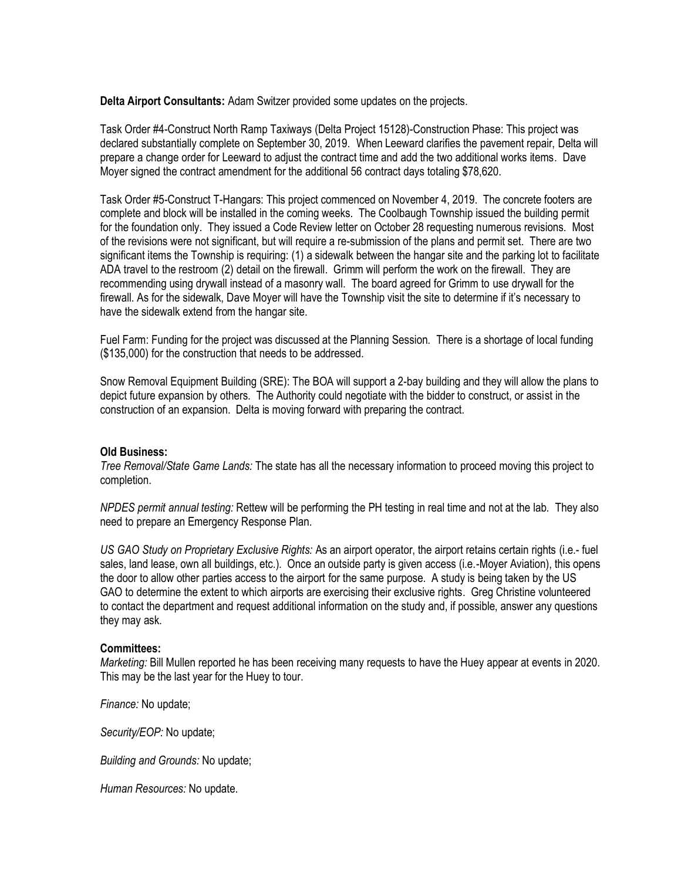**Delta Airport Consultants:** Adam Switzer provided some updates on the projects.

Task Order #4-Construct North Ramp Taxiways (Delta Project 15128)-Construction Phase: This project was declared substantially complete on September 30, 2019. When Leeward clarifies the pavement repair, Delta will prepare a change order for Leeward to adjust the contract time and add the two additional works items. Dave Moyer signed the contract amendment for the additional 56 contract days totaling \$78,620.

Task Order #5-Construct T-Hangars: This project commenced on November 4, 2019. The concrete footers are complete and block will be installed in the coming weeks. The Coolbaugh Township issued the building permit for the foundation only. They issued a Code Review letter on October 28 requesting numerous revisions. Most of the revisions were not significant, but will require a re-submission of the plans and permit set. There are two significant items the Township is requiring: (1) a sidewalk between the hangar site and the parking lot to facilitate ADA travel to the restroom (2) detail on the firewall. Grimm will perform the work on the firewall. They are recommending using drywall instead of a masonry wall. The board agreed for Grimm to use drywall for the firewall. As for the sidewalk, Dave Moyer will have the Township visit the site to determine if it's necessary to have the sidewalk extend from the hangar site.

Fuel Farm: Funding for the project was discussed at the Planning Session. There is a shortage of local funding (\$135,000) for the construction that needs to be addressed.

Snow Removal Equipment Building (SRE): The BOA will support a 2-bay building and they will allow the plans to depict future expansion by others. The Authority could negotiate with the bidder to construct, or assist in the construction of an expansion. Delta is moving forward with preparing the contract.

## **Old Business:**

*Tree Removal/State Game Lands:* The state has all the necessary information to proceed moving this project to completion.

*NPDES permit annual testing:* Rettew will be performing the PH testing in real time and not at the lab. They also need to prepare an Emergency Response Plan.

*US GAO Study on Proprietary Exclusive Rights:* As an airport operator, the airport retains certain rights (i.e.- fuel sales, land lease, own all buildings, etc.). Once an outside party is given access (i.e.-Moyer Aviation), this opens the door to allow other parties access to the airport for the same purpose. A study is being taken by the US GAO to determine the extent to which airports are exercising their exclusive rights. Greg Christine volunteered to contact the department and request additional information on the study and, if possible, answer any questions they may ask.

## **Committees:**

*Marketing:* Bill Mullen reported he has been receiving many requests to have the Huey appear at events in 2020. This may be the last year for the Huey to tour.

*Finance:* No update;

*Security/EOP:* No update;

*Building and Grounds:* No update;

*Human Resources:* No update.